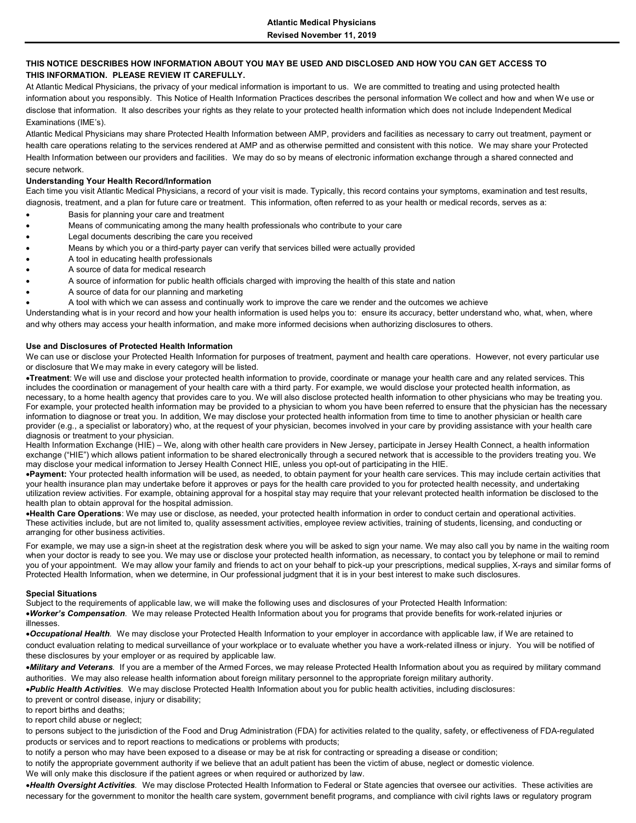## **THIS NOTICE DESCRIBES HOW INFORMATION ABOUT YOU MAY BE USED AND DISCLOSED AND HOW YOU CAN GET ACCESS TO THIS INFORMATION. PLEASE REVIEW IT CAREFULLY.**

At Atlantic Medical Physicians, the privacy of your medical information is important to us. We are committed to treating and using protected health information about you responsibly. This Notice of Health Information Practices describes the personal information We collect and how and when We use or disclose that information. It also describes your rights as they relate to your protected health information which does not include Independent Medical Examinations (IME's).

Atlantic Medical Physicians may share Protected Health Information between AMP, providers and facilities as necessary to carry out treatment, payment or health care operations relating to the services rendered at AMP and as otherwise permitted and consistent with this notice. We may share your Protected Health Information between our providers and facilities. We may do so by means of electronic information exchange through a shared connected and secure network.

### **Understanding Your Health Record/Information**

Each time you visit Atlantic Medical Physicians, a record of your visit is made. Typically, this record contains your symptoms, examination and test results, diagnosis, treatment, and a plan for future care or treatment. This information, often referred to as your health or medical records, serves as a:

- Basis for planning your care and treatment
- Means of communicating among the many health professionals who contribute to your care
- Legal documents describing the care you received
- Means by which you or a third-party payer can verify that services billed were actually provided
- A tool in educating health professionals
- A source of data for medical research
- A source of information for public health officials charged with improving the health of this state and nation
- A source of data for our planning and marketing
- A tool with which we can assess and continually work to improve the care we render and the outcomes we achieve

Understanding what is in your record and how your health information is used helps you to: ensure its accuracy, better understand who, what, when, where and why others may access your health information, and make more informed decisions when authorizing disclosures to others.

### **Use and Disclosures of Protected Health Information**

We can use or disclose your Protected Health Information for purposes of treatment, payment and health care operations. However, not every particular use or disclosure that We may make in every category will be listed.

•**Treatment**: We will use and disclose your protected health information to provide, coordinate or manage your health care and any related services. This includes the coordination or management of your health care with a third party. For example, we would disclose your protected health information, as necessary, to a home health agency that provides care to you. We will also disclose protected health information to other physicians who may be treating you. For example, your protected health information may be provided to a physician to whom you have been referred to ensure that the physician has the necessary information to diagnose or treat you. In addition, We may disclose your protected health information from time to time to another physician or health care provider (e.g., a specialist or laboratory) who, at the request of your physician, becomes involved in your care by providing assistance with your health care diagnosis or treatment to your physician.

Health Information Exchange (HIE) – We, along with other health care providers in New Jersey, participate in Jersey Health Connect, a health information exchange ("HIE") which allows patient information to be shared electronically through a secured network that is accessible to the providers treating you. We may disclose your medical information to Jersey Health Connect HIE, unless you opt-out of participating in the HIE.

•**Payment:** Your protected health information will be used, as needed, to obtain payment for your health care services. This may include certain activities that your health insurance plan may undertake before it approves or pays for the health care provided to you for protected health necessity, and undertaking utilization review activities. For example, obtaining approval for a hospital stay may require that your relevant protected health information be disclosed to the health plan to obtain approval for the hospital admission.

•**Health Care Operations**: We may use or disclose, as needed, your protected health information in order to conduct certain and operational activities. These activities include, but are not limited to, quality assessment activities, employee review activities, training of students, licensing, and conducting or arranging for other business activities.

For example, we may use a sign-in sheet at the registration desk where you will be asked to sign your name. We may also call you by name in the waiting room when your doctor is ready to see you. We may use or disclose your protected health information, as necessary, to contact you by telephone or mail to remind you of your appointment. We may allow your family and friends to act on your behalf to pick-up your prescriptions, medical supplies, X-rays and similar forms of Protected Health Information, when we determine, in Our professional judgment that it is in your best interest to make such disclosures.

### **Special Situations**

Subject to the requirements of applicable law, we will make the following uses and disclosures of your Protected Health Information: •*Worker's Compensation*. We may release Protected Health Information about you for programs that provide benefits for work-related injuries or illnesses.

•*Occupational Health.* We may disclose your Protected Health Information to your employer in accordance with applicable law, if We are retained to conduct evaluation relating to medical surveillance of your workplace or to evaluate whether you have a work-related illness or injury. You will be notified of these disclosures by your employer or as required by applicable law.

•*Military and Veterans.* If you are a member of the Armed Forces, we may release Protected Health Information about you as required by military command authorities. We may also release health information about foreign military personnel to the appropriate foreign military authority.

•*Public Health Activities.* We may disclose Protected Health Information about you for public health activities, including disclosures:

to prevent or control disease, injury or disability;

to report births and deaths;

to report child abuse or neglect;

to persons subject to the jurisdiction of the Food and Drug Administration (FDA) for activities related to the quality, safety, or effectiveness of FDA-regulated products or services and to report reactions to medications or problems with products;

to notify a person who may have been exposed to a disease or may be at risk for contracting or spreading a disease or condition;

to notify the appropriate government authority if we believe that an adult patient has been the victim of abuse, neglect or domestic violence.

We will only make this disclosure if the patient agrees or when required or authorized by law.

•*Health Oversight Activities.* We may disclose Protected Health Information to Federal or State agencies that oversee our activities. These activities are necessary for the government to monitor the health care system, government benefit programs, and compliance with civil rights laws or regulatory program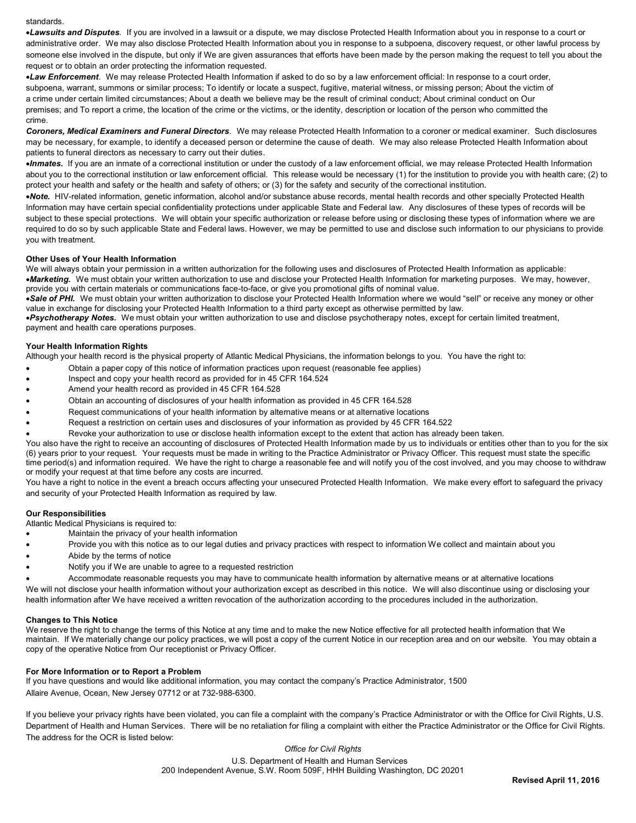standards.

•*Lawsuits and Disputes.* If you are involved in a lawsuit or a dispute, we may disclose Protected Health Information about you in response to a court or administrative order. We may also disclose Protected Health Information about you in response to a subpoena, discovery request, or other lawful process by someone else involved in the dispute, but only if We are given assurances that efforts have been made by the person making the request to tell you about the request or to obtain an order protecting the information requested.

•*Law Enforcement*. We may release Protected Health Information if asked to do so by a law enforcement official: In response to a court order, subpoena, warrant, summons or similar process; To identify or locate a suspect, fugitive, material witness, or missing person; About the victim of a crime under certain limited circumstances; About a death we believe may be the result of criminal conduct; About criminal conduct on Our premises; and To report a crime, the location of the crime or the victims, or the identity, description or location of the person who committed the crime.

*Coroners, Medical Examiners and Funeral Directors*. We may release Protected Health Information to a coroner or medical examiner. Such disclosures may be necessary, for example, to identify a deceased person or determine the cause of death. We may also release Protected Health Information about patients to funeral directors as necessary to carry out their duties.

•*Inmates***.** If you are an inmate of a correctional institution or under the custody of a law enforcement official, we may release Protected Health Information about you to the correctional institution or law enforcement official. This release would be necessary (1) for the institution to provide you with health care; (2) to protect your health and safety or the health and safety of others; or (3) for the safety and security of the correctional institution.

•*Note.* HIV-related information, genetic information, alcohol and/or substance abuse records, mental health records and other specially Protected Health Information may have certain special confidentiality protections under applicable State and Federal law. Any disclosures of these types of records will be subject to these special protections. We will obtain your specific authorization or release before using or disclosing these types of information where we are required to do so by such applicable State and Federal laws. However, we may be permitted to use and disclose such information to our physicians to provide you with treatment.

### **Other Uses of Your Health Information**

We will always obtain your permission in a written authorization for the following uses and disclosures of Protected Health Information as applicable:

•*Marketing.* We must obtain your written authorization to use and disclose your Protected Health Information for marketing purposes. We may, however, provide you with certain materials or communications face-to-face, or give you promotional gifts of nominal value.

•*Sale of PHI.* We must obtain your written authorization to disclose your Protected Health Information where we would "sell" or receive any money or other value in exchange for disclosing your Protected Health Information to a third party except as otherwise permitted by law.

•*Psychotherapy Notes.* We must obtain your written authorization to use and disclose psychotherapy notes, except for certain limited treatment, payment and health care operations purposes.

### **Your Health Information Rights**

Although your health record is the physical property of Atlantic Medical Physicians, the information belongs to you. You have the right to:

- Obtain a paper copy of this notice of information practices upon request (reasonable fee applies)
- Inspect and copy your health record as provided for in 45 CFR 164.524
- Amend your health record as provided in 45 CFR 164.528
- Obtain an accounting of disclosures of your health information as provided in 45 CFR 164.528
- Request communications of your health information by alternative means or at alternative locations
- Request a restriction on certain uses and disclosures of your information as provided by 45 CFR 164.522
- Revoke your authorization to use or disclose health information except to the extent that action has already been taken.

You also have the right to receive an accounting of disclosures of Protected Health Information made by us to individuals or entities other than to you for the six (6) years prior to your request. Your requests must be made in writing to the Practice Administrator or Privacy Officer. This request must state the specific time period(s) and information required. We have the right to charge a reasonable fee and will notify you of the cost involved, and you may choose to withdraw or modify your request at that time before any costs are incurred.

You have a right to notice in the event a breach occurs affecting your unsecured Protected Health Information. We make every effort to safeguard the privacy and security of your Protected Health Information as required by law.

### **Our Responsibilities**

Atlantic Medical Physicians is required to:

- Maintain the privacy of your health information
- Provide you with this notice as to our legal duties and privacy practices with respect to information We collect and maintain about you
- Abide by the terms of notice
- Notify you if We are unable to agree to a requested restriction

• Accommodate reasonable requests you may have to communicate health information by alternative means or at alternative locations We will not disclose your health information without your authorization except as described in this notice. We will also discontinue using or disclosing your health information after We have received a written revocation of the authorization according to the procedures included in the authorization.

#### **Changes to This Notice**

We reserve the right to change the terms of this Notice at any time and to make the new Notice effective for all protected health information that We maintain. If We materially change our policy practices, we will post a copy of the current Notice in our reception area and on our website. You may obtain a copy of the operative Notice from Our receptionist or Privacy Officer.

### **For More Information or to Report a Problem**

If you have questions and would like additional information, you may contact the company's Practice Administrator, 1500 Allaire Avenue, Ocean, New Jersey 07712 or at 732-988-6300.

If you believe your privacy rights have been violated, you can file a complaint with the company's Practice Administrator or with the Office for Civil Rights, U.S. Department of Health and Human Services. There will be no retaliation for filing a complaint with either the Practice Administrator or the Office for Civil Rights. The address for the OCR is listed below:

> *Office for Civil Rights* U.S. Department of Health and Human Services 200 Independent Avenue, S.W. Room 509F, HHH Building Washington, DC 20201